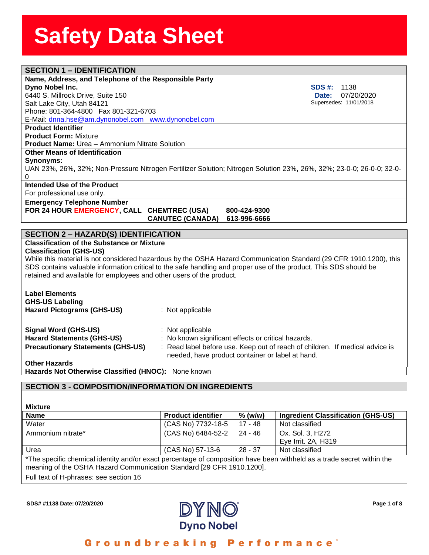| <b>SECTION 1 - IDENTIFICATION</b>                                                                                                                                                                                                                                                                                                                                                                      |                                                  |                        |                                                             |  |  |  |  |
|--------------------------------------------------------------------------------------------------------------------------------------------------------------------------------------------------------------------------------------------------------------------------------------------------------------------------------------------------------------------------------------------------------|--------------------------------------------------|------------------------|-------------------------------------------------------------|--|--|--|--|
| Name, Address, and Telephone of the Responsible Party                                                                                                                                                                                                                                                                                                                                                  |                                                  |                        |                                                             |  |  |  |  |
| Dyno Nobel Inc.                                                                                                                                                                                                                                                                                                                                                                                        | SDS #:<br>1138                                   |                        |                                                             |  |  |  |  |
| 6440 S. Millrock Drive, Suite 150<br>07/20/2020<br>Date:                                                                                                                                                                                                                                                                                                                                               |                                                  |                        |                                                             |  |  |  |  |
| Supersedes: 11/01/2018<br>Salt Lake City, Utah 84121                                                                                                                                                                                                                                                                                                                                                   |                                                  |                        |                                                             |  |  |  |  |
| Phone: 801-364-4800  Fax 801-321-6703                                                                                                                                                                                                                                                                                                                                                                  |                                                  |                        |                                                             |  |  |  |  |
| E-Mail: dnna.hse@am.dynonobel.com www.dynonobel.com                                                                                                                                                                                                                                                                                                                                                    |                                                  |                        |                                                             |  |  |  |  |
| <b>Product Identifier</b>                                                                                                                                                                                                                                                                                                                                                                              |                                                  |                        |                                                             |  |  |  |  |
| <b>Product Form: Mixture</b>                                                                                                                                                                                                                                                                                                                                                                           |                                                  |                        |                                                             |  |  |  |  |
| <b>Product Name: Urea - Ammonium Nitrate Solution</b>                                                                                                                                                                                                                                                                                                                                                  |                                                  |                        |                                                             |  |  |  |  |
| <b>Other Means of Identification</b>                                                                                                                                                                                                                                                                                                                                                                   |                                                  |                        |                                                             |  |  |  |  |
| <b>Synonyms:</b>                                                                                                                                                                                                                                                                                                                                                                                       |                                                  |                        |                                                             |  |  |  |  |
| UAN 23%, 26%, 32%; Non-Pressure Nitrogen Fertilizer Solution; Nitrogen Solution 23%, 26%, 32%; 23-0-0; 26-0-0; 32-0-                                                                                                                                                                                                                                                                                   |                                                  |                        |                                                             |  |  |  |  |
| 0                                                                                                                                                                                                                                                                                                                                                                                                      |                                                  |                        |                                                             |  |  |  |  |
| Intended Use of the Product                                                                                                                                                                                                                                                                                                                                                                            |                                                  |                        |                                                             |  |  |  |  |
| For professional use only.                                                                                                                                                                                                                                                                                                                                                                             |                                                  |                        |                                                             |  |  |  |  |
| <b>Emergency Telephone Number</b>                                                                                                                                                                                                                                                                                                                                                                      |                                                  |                        |                                                             |  |  |  |  |
| FOR 24 HOUR EMERGENCY, CALL CHEMTREC (USA)                                                                                                                                                                                                                                                                                                                                                             |                                                  | 800-424-9300           |                                                             |  |  |  |  |
|                                                                                                                                                                                                                                                                                                                                                                                                        | <b>CANUTEC (CANADA)</b>                          | 613-996-6666           |                                                             |  |  |  |  |
| <b>SECTION 2 - HAZARD(S) IDENTIFICATION</b>                                                                                                                                                                                                                                                                                                                                                            |                                                  |                        |                                                             |  |  |  |  |
| <b>Classification of the Substance or Mixture</b><br><b>Classification (GHS-US)</b><br>While this material is not considered hazardous by the OSHA Hazard Communication Standard (29 CFR 1910.1200), this<br>SDS contains valuable information critical to the safe handling and proper use of the product. This SDS should be<br>retained and available for employees and other users of the product. |                                                  |                        |                                                             |  |  |  |  |
| <b>Label Elements</b><br><b>GHS-US Labeling</b><br><b>Hazard Pictograms (GHS-US)</b>                                                                                                                                                                                                                                                                                                                   | : Not applicable                                 |                        |                                                             |  |  |  |  |
|                                                                                                                                                                                                                                                                                                                                                                                                        |                                                  |                        |                                                             |  |  |  |  |
| <b>Signal Word (GHS-US)</b><br>: Not applicable<br><b>Hazard Statements (GHS-US)</b><br>: No known significant effects or critical hazards.                                                                                                                                                                                                                                                            |                                                  |                        |                                                             |  |  |  |  |
| <b>Precautionary Statements (GHS-US)</b><br>: Read label before use. Keep out of reach of children. If medical advice is                                                                                                                                                                                                                                                                               |                                                  |                        |                                                             |  |  |  |  |
|                                                                                                                                                                                                                                                                                                                                                                                                        | needed, have product container or label at hand. |                        |                                                             |  |  |  |  |
| <b>Other Hazards</b>                                                                                                                                                                                                                                                                                                                                                                                   |                                                  |                        |                                                             |  |  |  |  |
| Hazards Not Otherwise Classified (HNOC): None known                                                                                                                                                                                                                                                                                                                                                    |                                                  |                        |                                                             |  |  |  |  |
|                                                                                                                                                                                                                                                                                                                                                                                                        |                                                  |                        |                                                             |  |  |  |  |
| <b>SECTION 3 - COMPOSITION/INFORMATION ON INGREDIENTS</b>                                                                                                                                                                                                                                                                                                                                              |                                                  |                        |                                                             |  |  |  |  |
|                                                                                                                                                                                                                                                                                                                                                                                                        |                                                  |                        |                                                             |  |  |  |  |
|                                                                                                                                                                                                                                                                                                                                                                                                        |                                                  |                        |                                                             |  |  |  |  |
| <b>Mixture</b>                                                                                                                                                                                                                                                                                                                                                                                         |                                                  |                        |                                                             |  |  |  |  |
| <b>Name</b>                                                                                                                                                                                                                                                                                                                                                                                            | <b>Product identifier</b><br>(CAS No) 7732-18-5  | $%$ (w/w)<br>$17 - 48$ | <b>Ingredient Classification (GHS-US)</b><br>Not classified |  |  |  |  |
| Water                                                                                                                                                                                                                                                                                                                                                                                                  |                                                  |                        |                                                             |  |  |  |  |

Eye Irrit. 2A, H319 Urea (CAS No) 57-13-6 28 - 37 Not classified \*The specific chemical identity and/or exact percentage of composition have been withheld as a trade secret within the meaning of the OSHA Hazard Communication Standard [29 CFR 1910.1200].

Ammonium nitrate\* (CAS No) 6484-52-2 24 - 46 Ox. Sol. 3, H272

Full text of H-phrases: see section 16



#### Groundbreaking **Performance**<sup>®</sup>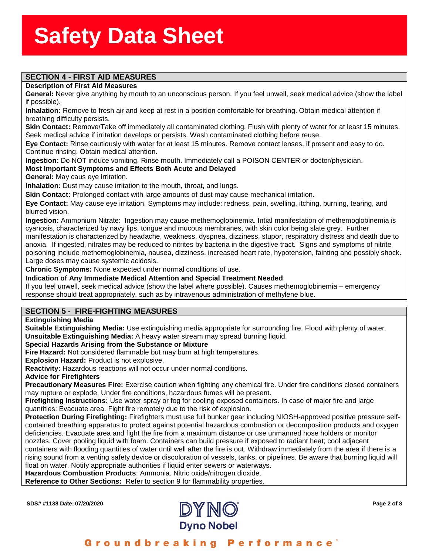# ass<del>ssssSSSS</del><br>Stern Stern Stern Stern Stern Stern Stern Stern Stern Stern Stern Stern Stern Stern Stern Stern Stern Stern St

#### **Description of First Aid Measures**

**SECTION 4 - FIRST AID MEASURES**<br>Description of First Aid Measures<br>General: Never give anything by mouth to an unconscious person. If you feel unwell, seek medical advice (show the label if possible).

**Inhalation:** Remove to fresh air and keep at rest in a position comfortable for breathing. Obtain medical attention if breathing difficulty persists.

**Skin Contact:** Remove/Take off immediately all contaminated clothing. Flush with plenty of water for at least 15 minutes. Seek medical advice if irritation develops or persists. Wash contaminated clothing before reuse.

**Eye Contact:** Rinse cautiously with water for at least 15 minutes. Remove contact lenses, if present and easy to do. Continue rinsing. Obtain medical attention.

**Ingestion:** Do NOT induce vomiting. Rinse mouth. Immediately call a POISON CENTER or doctor/physician.

#### **Most Important Symptoms and Effects Both Acute and Delayed**

**General:** May caus eye irritation.

**Inhalation:** Dust may cause irritation to the mouth, throat, and lungs.

**Skin Contact:** Prolonged contact with large amounts of dust may cause mechanical irritation.

**Eye Contact:** May cause eye irritation. Symptoms may include: redness, pain, swelling, itching, burning, tearing, and blurred vision.

**Ingestion:** Ammonium Nitrate: Ingestion may cause methemoglobinemia. Intial manifestation of methemoglobinemia is cyanosis, characterized by navy lips, tongue and mucous membranes, with skin color being slate grey. Further manifestation is characterized by headache, weakness, dyspnea, dizziness, stupor, respiratory distress and death due to anoxia. If ingested, nitrates may be reduced to nitrites by bacteria in the digestive tract. Signs and symptoms of nitrite poisoning include methemoglobinemia, nausea, dizziness, increased heart rate, hypotension, fainting and possibly shock. Large doses may cause systemic acidosis.

**Chronic Symptoms:** None expected under normal conditions of use.

**Indication of Any Immediate Medical Attention and Special Treatment Needed**

If you feel unwell, seek medical advice (show the label where possible). Causes methemoglobinemia – emergency response should treat appropriately, such as by intravenous administration of methylene blue.

#### **SECTION 5 - FIRE-FIGHTING MEASURES**

#### **Extinguishing Media**

**Suitable Extinguishing Media:** Use extinguishing media appropriate for surrounding fire. Flood with plenty of water. **Unsuitable Extinguishing Media:** A heavy water stream may spread burning liquid.

#### **Special Hazards Arising from the Substance or Mixture**

**Fire Hazard:** Not considered flammable but may burn at high temperatures.

**Explosion Hazard:** Product is not explosive.

**Reactivity:** Hazardous reactions will not occur under normal conditions.

**Advice for Firefighters**

**Precautionary Measures Fire:** Exercise caution when fighting any chemical fire. Under fire conditions closed containers may rupture or explode. Under fire conditions, hazardous fumes will be present.

**Firefighting Instructions:** Use water spray or fog for cooling exposed containers. In case of major fire and large quantities: Evacuate area. Fight fire remotely due to the risk of explosion.

**Protection During Firefighting:** Firefighters must use full bunker gear including NIOSH-approved positive pressure selfcontained breathing apparatus to protect against potential hazardous combustion or decomposition products and oxygen deficiencies. Evacuate area and fight the fire from a maximum distance or use unmanned hose holders or monitor nozzles. Cover pooling liquid with foam. Containers can build pressure if exposed to radiant heat; cool adjacent containers with flooding quantities of water until well after the fire is out. Withdraw immediately from the area if there is a rising sound from a venting safety device or discoloration of vessels, tanks, or pipelines. Be aware that burning liquid will float on water. Notify appropriate authorities if liquid enter sewers or waterways.

**Hazardous Combustion Products**: Ammonia. Nitric oxide/nitrogen dioxide.

**Reference to Other Sections:** Refer to section 9 for flammability properties.



### Groundbreaking Performance'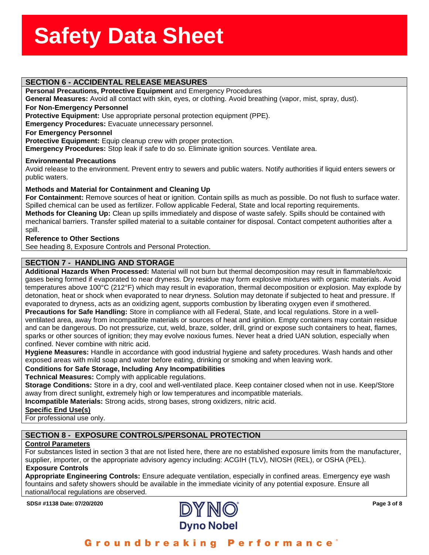#### **SECTION 6 - ACCIDENTAL RELEASE MEASURES**

**Personal Precautions, Protective Equipment** and Emergency Procedures

**ssssSSherrSheetSSh**

**General Measures:** Avoid all contact with skin, eyes, or clothing. Avoid breathing (vapor, mist, spray, dust).

#### **For Non-Emergency Personnel**

**Protective Equipment:** Use appropriate personal protection equipment (PPE).

**Emergency Procedures:** Evacuate unnecessary personnel.

#### **For Emergency Personnel**

**Protective Equipment:** Equip cleanup crew with proper protection.

**Emergency Procedures:** Stop leak if safe to do so. Eliminate ignition sources. Ventilate area.

#### **Environmental Precautions**

Avoid release to the environment. Prevent entry to sewers and public waters. Notify authorities if liquid enters sewers or public waters.

#### **Methods and Material for Containment and Cleaning Up**

**For Containment:** Remove sources of heat or ignition. Contain spills as much as possible. Do not flush to surface water. Spilled chemical can be used as fertilizer. Follow applicable Federal, State and local reporting requirements. **Methods for Cleaning Up:** Clean up spills immediately and dispose of waste safely. Spills should be contained with mechanical barriers. Transfer spilled material to a suitable container for disposal. Contact competent authorities after a spill.

#### **Reference to Other Sections**

See heading 8, Exposure Controls and Personal Protection.

#### **SECTION 7 - HANDLING AND STORAGE**

**Additional Hazards When Processed:** Material will not burn but thermal decomposition may result in flammable/toxic gases being formed if evaporated to near dryness. Dry residue may form explosive mixtures with organic materials. Avoid temperatures above 100°C (212°F) which may result in evaporation, thermal decomposition or explosion. May explode by detonation, heat or shock when evaporated to near dryness. Solution may detonate if subjected to heat and pressure. If evaporated to dryness, acts as an oxidizing agent, supports combustion by liberating oxygen even if smothered.

**Precautions for Safe Handling:** Store in compliance with all Federal, State, and local regulations. Store in a wellventilated area, away from incompatible materials or sources of heat and ignition. Empty containers may contain residue and can be dangerous. Do not pressurize, cut, weld, braze, solder, drill, grind or expose such containers to heat, flames, sparks or other sources of ignition; they may evolve noxious fumes. Never heat a dried UAN solution, especially when confined. Never combine with nitric acid.

**Hygiene Measures:** Handle in accordance with good industrial hygiene and safety procedures. Wash hands and other exposed areas with mild soap and water before eating, drinking or smoking and when leaving work.

#### **Conditions for Safe Storage, Including Any Incompatibilities**

**Technical Measures:** Comply with applicable regulations.

**Storage Conditions:** Store in a dry, cool and well-ventilated place. Keep container closed when not in use. Keep/Store away from direct sunlight, extremely high or low temperatures and incompatible materials.

**Incompatible Materials:** Strong acids, strong bases, strong oxidizers, nitric acid.

#### **Specific End Use(s)**

For professional use only.

#### **SECTION 8 - EXPOSURE CONTROLS/PERSONAL PROTECTION**

#### **Control Parameters**

For substances listed in section 3 that are not listed here, there are no established exposure limits from the manufacturer, supplier, importer, or the appropriate advisory agency including: ACGIH (TLV), NIOSH (REL), or OSHA (PEL).  **Exposure Controls**

**Appropriate Engineering Controls:** Ensure adequate ventilation, especially in confined areas. Emergency eye wash fountains and safety showers should be available in the immediate vicinity of any potential exposure. Ensure all national/local regulations are observed.



### Groundbreaking Performance'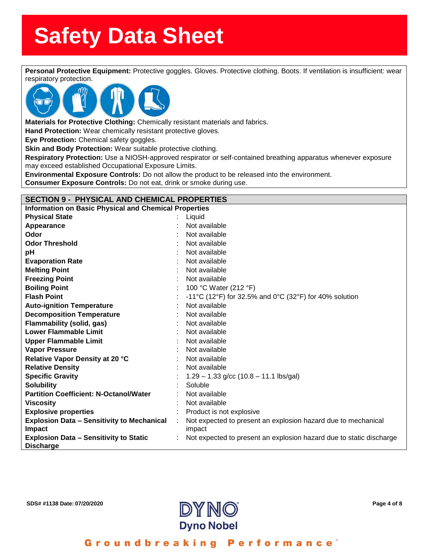**Personal Protective Equipment:** Protective goggles. Gloves. Protective clothing. Boots. If ventilation is insufficient: wear<br>Personal Protective Equipment: Protective goggles. Gloves. Protective clothing. Boots. If ventil



**Materials for Protective Clothing:** Chemically resistant materials and fabrics.

**Hand Protection:** Wear chemically resistant protective gloves.

**Eye Protection:** Chemical safety goggles.

**Skin and Body Protection:** Wear suitable protective clothing.

**Respiratory Protection:** Use a NIOSH-approved respirator or self-contained breathing apparatus whenever exposure may exceed established Occupational Exposure Limits.

**Environmental Exposure Controls:** Do not allow the product to be released into the environment.

**Consumer Exposure Controls:** Do not eat, drink or smoke during use.

#### **SECTION 9 - PHYSICAL AND CHEMICAL PROPERTIES**

**Information on Basic Physical and Chemical Properties**

| <b>Physical State</b>                                             |   | Liquid                                                              |
|-------------------------------------------------------------------|---|---------------------------------------------------------------------|
| Appearance                                                        |   | Not available                                                       |
| Odor                                                              |   | Not available                                                       |
| <b>Odor Threshold</b>                                             |   | Not available                                                       |
| рH                                                                |   | Not available                                                       |
| <b>Evaporation Rate</b>                                           |   | Not available                                                       |
| <b>Melting Point</b>                                              |   | Not available                                                       |
| <b>Freezing Point</b>                                             |   | Not available                                                       |
| <b>Boiling Point</b>                                              |   | 100 °C Water (212 °F)                                               |
| <b>Flash Point</b>                                                |   | -11°C (12°F) for 32.5% and 0°C (32°F) for 40% solution              |
| <b>Auto-ignition Temperature</b>                                  |   | Not available                                                       |
| <b>Decomposition Temperature</b>                                  |   | Not available                                                       |
| <b>Flammability (solid, gas)</b>                                  |   | Not available                                                       |
| <b>Lower Flammable Limit</b>                                      |   | Not available                                                       |
| <b>Upper Flammable Limit</b>                                      |   | Not available                                                       |
| <b>Vapor Pressure</b>                                             |   | Not available                                                       |
| Relative Vapor Density at 20 °C                                   |   | Not available                                                       |
| <b>Relative Density</b>                                           |   | Not available                                                       |
| <b>Specific Gravity</b>                                           |   | $1.29 - 1.33$ g/cc (10.8 – 11.1 lbs/gal)                            |
| <b>Solubility</b>                                                 |   | Soluble                                                             |
| <b>Partition Coefficient: N-Octanol/Water</b>                     |   | Not available                                                       |
| <b>Viscosity</b>                                                  |   | Not available                                                       |
| <b>Explosive properties</b>                                       |   | Product is not explosive                                            |
| <b>Explosion Data - Sensitivity to Mechanical</b>                 | ÷ | Not expected to present an explosion hazard due to mechanical       |
| <b>Impact</b>                                                     |   | impact                                                              |
| <b>Explosion Data - Sensitivity to Static</b><br><b>Discharge</b> |   | Not expected to present an explosion hazard due to static discharge |



Groundbreaking **Performance**<sup>®</sup>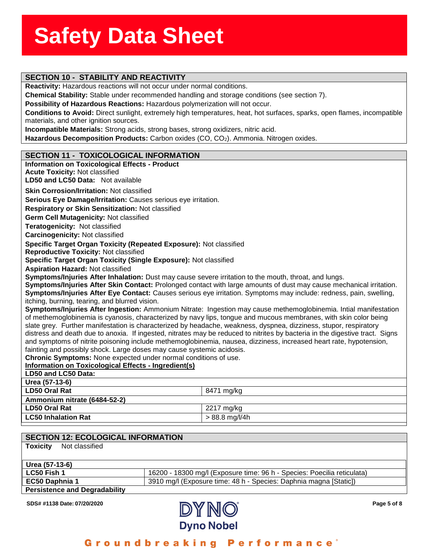# ass<del>ssssSSSS</del><br>Stern Stern Stern Stern Stern Stern Stern Stern Stern Stern Stern Stern Stern Stern Stern Stern Stern Stern St

**Reactivity:** Hazardous reactions will not occur under normal conditions.

**SECTION 10 - STABILITY AND REACTIVITY**<br>**Reactivity:** Hazardous reactions will not occur under normal conditions.<br>Chemical Stability: Stable under recommended handling and storage conditions (see section 7).

**Possibility of Hazardous Reactions:** Hazardous polymerization will not occur.

**Conditions to Avoid:** Direct sunlight, extremely high temperatures, heat, hot surfaces, sparks, open flames, incompatible materials, and other ignition sources.

**Incompatible Materials:** Strong acids, strong bases, strong oxidizers, nitric acid.

Hazardous Decomposition Products: Carbon oxides (CO, CO<sub>2</sub>). Ammonia. Nitrogen oxides.

### **SECTION 11 - TOXICOLOGICAL INFORMATION**

| <b>Information on Toxicological Effects - Product</b>                                                                                                                                                                                              |                  |  |  |
|----------------------------------------------------------------------------------------------------------------------------------------------------------------------------------------------------------------------------------------------------|------------------|--|--|
| <b>Acute Toxicity: Not classified</b>                                                                                                                                                                                                              |                  |  |  |
| <b>LD50 and LC50 Data: Not available</b>                                                                                                                                                                                                           |                  |  |  |
| <b>Skin Corrosion/Irritation: Not classified</b>                                                                                                                                                                                                   |                  |  |  |
| Serious Eye Damage/Irritation: Causes serious eye irritation.                                                                                                                                                                                      |                  |  |  |
| Respiratory or Skin Sensitization: Not classified                                                                                                                                                                                                  |                  |  |  |
| Germ Cell Mutagenicity: Not classified                                                                                                                                                                                                             |                  |  |  |
| Teratogenicity: Not classified                                                                                                                                                                                                                     |                  |  |  |
| <b>Carcinogenicity: Not classified</b>                                                                                                                                                                                                             |                  |  |  |
| Specific Target Organ Toxicity (Repeated Exposure): Not classified                                                                                                                                                                                 |                  |  |  |
| <b>Reproductive Toxicity: Not classified</b>                                                                                                                                                                                                       |                  |  |  |
| Specific Target Organ Toxicity (Single Exposure): Not classified                                                                                                                                                                                   |                  |  |  |
| <b>Aspiration Hazard: Not classified</b>                                                                                                                                                                                                           |                  |  |  |
| Symptoms/Injuries After Inhalation: Dust may cause severe irritation to the mouth, throat, and lungs.                                                                                                                                              |                  |  |  |
| Symptoms/Injuries After Skin Contact: Prolonged contact with large amounts of dust may cause mechanical irritation.                                                                                                                                |                  |  |  |
| Symptoms/Injuries After Eye Contact: Causes serious eye irritation. Symptoms may include: redness, pain, swelling,                                                                                                                                 |                  |  |  |
| itching, burning, tearing, and blurred vision.                                                                                                                                                                                                     |                  |  |  |
| Symptoms/Injuries After Ingestion: Ammonium Nitrate: Ingestion may cause methemoglobinemia. Intial manifestation                                                                                                                                   |                  |  |  |
| of methemoglobinemia is cyanosis, characterized by navy lips, tongue and mucous membranes, with skin color being                                                                                                                                   |                  |  |  |
| slate grey. Further manifestation is characterized by headache, weakness, dyspnea, dizziness, stupor, respiratory                                                                                                                                  |                  |  |  |
| distress and death due to anoxia. If ingested, nitrates may be reduced to nitrites by bacteria in the digestive tract. Signs<br>and symptoms of nitrite poisoning include methemoglobinemia, nausea, dizziness, increased heart rate, hypotension, |                  |  |  |
| fainting and possibly shock. Large doses may cause systemic acidosis.                                                                                                                                                                              |                  |  |  |
| Chronic Symptoms: None expected under normal conditions of use.                                                                                                                                                                                    |                  |  |  |
| Information on Toxicological Effects - Ingredient(s)                                                                                                                                                                                               |                  |  |  |
| LD50 and LC50 Data:                                                                                                                                                                                                                                |                  |  |  |
| Urea (57-13-6)                                                                                                                                                                                                                                     |                  |  |  |
| <b>LD50 Oral Rat</b>                                                                                                                                                                                                                               | 8471 mg/kg       |  |  |
| Ammonium nitrate (6484-52-2)                                                                                                                                                                                                                       |                  |  |  |
| <b>LD50 Oral Rat</b>                                                                                                                                                                                                                               | 2217 mg/kg       |  |  |
| <b>LC50 Inhalation Rat</b>                                                                                                                                                                                                                         | $> 88.8$ mg/l/4h |  |  |
|                                                                                                                                                                                                                                                    |                  |  |  |
|                                                                                                                                                                                                                                                    |                  |  |  |

| <b>SECTION 12: ECOLOGICAL INFORMATION</b> |                                                                         |
|-------------------------------------------|-------------------------------------------------------------------------|
| Not classified<br><b>Toxicity</b>         |                                                                         |
|                                           |                                                                         |
| Urea (57-13-6)                            |                                                                         |
| <b>LC50 Fish 1</b>                        | 16200 - 18300 mg/l (Exposure time: 96 h - Species: Poecilia reticulata) |
| EC50 Daphnia 1                            | 3910 mg/l (Exposure time: 48 h - Species: Daphnia magna [Static])       |
| <b>Persistence and Degradability</b>      |                                                                         |
|                                           |                                                                         |



Groundbreaking Performance°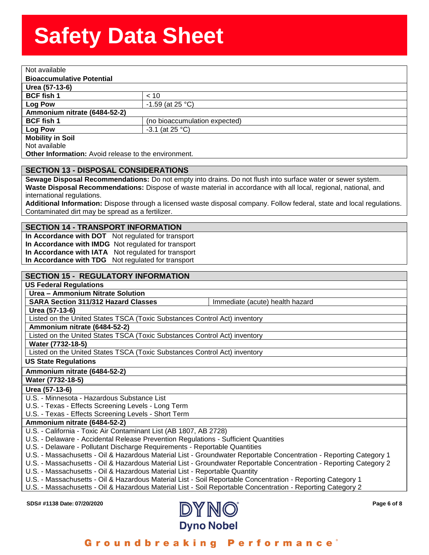| Not available                                               |                               |
|-------------------------------------------------------------|-------------------------------|
| <b>Bioaccumulative Potential</b>                            |                               |
| Urea (57-13-6)                                              |                               |
| <b>BCF fish 1</b>                                           | < 10                          |
| <b>Log Pow</b>                                              | $-1.59$ (at 25 °C)            |
| Ammonium nitrate (6484-52-2)                                |                               |
| <b>BCF fish 1</b>                                           | (no bioaccumulation expected) |
| <b>Log Pow</b>                                              | $-3.1$ (at 25 °C)             |
| <b>Mobility in Soil</b>                                     |                               |
| Not available                                               |                               |
| <b>Other Information:</b> Avoid release to the environment. |                               |

#### **SECTION 13 - DISPOSAL CONSIDERATIONS**

**Sewage Disposal Recommendations:** Do not empty into drains. Do not flush into surface water or sewer system. **Waste Disposal Recommendations:** Dispose of waste material in accordance with all local, regional, national, and international regulations.

**Additional Information:** Dispose through a licensed waste disposal company. Follow federal, state and local regulations. Contaminated dirt may be spread as a fertilizer.

#### **SECTION 14 - TRANSPORT INFORMATION**

**In Accordance with DOT** Not regulated for transport **In Accordance with IMDG** Not regulated for transport **In Accordance with IATA** Not regulated for transport **In Accordance with TDG** Not regulated for transport

#### **SECTION 15 - REGULATORY INFORMATION**

**US Federal Regulations**

**Urea – Ammonium Nitrate Solution**

**SARA Section 311/312 Hazard Classes** Immediate (acute) health hazard

**Urea (57-13-6)**

Listed on the United States TSCA (Toxic Substances Control Act) inventory

**Ammonium nitrate (6484-52-2)**

Listed on the United States TSCA (Toxic Substances Control Act) inventory

**Water (7732-18-5)**

Listed on the United States TSCA (Toxic Substances Control Act) inventory

**US State Regulations**

**Ammonium nitrate (6484-52-2)**

**Water (7732-18-5)**

**Urea (57-13-6)**

U.S. - Minnesota - Hazardous Substance List

U.S. - Texas - Effects Screening Levels - Long Term

U.S. - Texas - Effects Screening Levels - Short Term

**Ammonium nitrate (6484-52-2)**

U.S. - California - Toxic Air Contaminant List (AB 1807, AB 2728)

U.S. - Delaware - Accidental Release Prevention Regulations - Sufficient Quantities

U.S. - Delaware - Pollutant Discharge Requirements - Reportable Quantities

U.S. - Massachusetts - Oil & Hazardous Material List - Groundwater Reportable Concentration - Reporting Category 1

U.S. - Massachusetts - Oil & Hazardous Material List - Groundwater Reportable Concentration - Reporting Category 2

U.S. - Massachusetts - Oil & Hazardous Material List - Reportable Quantity

U.S. - Massachusetts - Oil & Hazardous Material List - Soil Reportable Concentration - Reporting Category 1

U.S. - Massachusetts - Oil & Hazardous Material List - Soil Reportable Concentration - Reporting Category 2



### Groundbreaking Performance'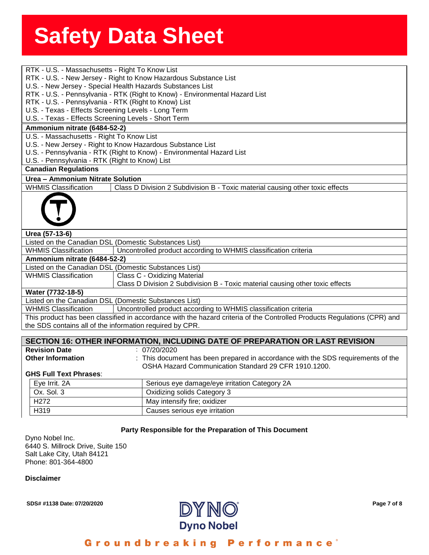| RTK - U.S. - Massachusetts - Right To Know List                                                                          |  |  |
|--------------------------------------------------------------------------------------------------------------------------|--|--|
| RTK - U.S. - New Jersey - Right to Know Hazardous Substance List                                                         |  |  |
| U.S. - New Jersey - Special Health Hazards Substances List                                                               |  |  |
| RTK - U.S. - Pennsylvania - RTK (Right to Know) - Environmental Hazard List                                              |  |  |
| RTK - U.S. - Pennsylvania - RTK (Right to Know) List                                                                     |  |  |
| U.S. - Texas - Effects Screening Levels - Long Term                                                                      |  |  |
| U.S. - Texas - Effects Screening Levels - Short Term                                                                     |  |  |
| Ammonium nitrate (6484-52-2)                                                                                             |  |  |
| U.S. - Massachusetts - Right To Know List                                                                                |  |  |
| U.S. - New Jersey - Right to Know Hazardous Substance List                                                               |  |  |
| U.S. - Pennsylvania - RTK (Right to Know) - Environmental Hazard List                                                    |  |  |
| U.S. - Pennsylvania - RTK (Right to Know) List                                                                           |  |  |
| <b>Canadian Regulations</b>                                                                                              |  |  |
| Urea - Ammonium Nitrate Solution                                                                                         |  |  |
| <b>WHMIS Classification</b><br>Class D Division 2 Subdivision B - Toxic material causing other toxic effects             |  |  |
|                                                                                                                          |  |  |
| Urea (57-13-6)                                                                                                           |  |  |
| Listed on the Canadian DSL (Domestic Substances List)                                                                    |  |  |
| <b>WHMIS Classification</b><br>Uncontrolled product according to WHMIS classification criteria                           |  |  |
| Ammonium nitrate (6484-52-2)                                                                                             |  |  |
| Listed on the Canadian DSL (Domestic Substances List)                                                                    |  |  |
| <b>WHMIS Classification</b><br>Class C - Oxidizing Material                                                              |  |  |
| Class D Division 2 Subdivision B - Toxic material causing other toxic effects                                            |  |  |
| Water (7732-18-5)                                                                                                        |  |  |
| Listed on the Canadian DSL (Domestic Substances List)                                                                    |  |  |
| <b>WHMIS Classification</b><br>Uncontrolled product according to WHMIS classification criteria                           |  |  |
| This product has been classified in accordance with the hazard criteria of the Controlled Products Regulations (CPR) and |  |  |
| the SDS contains all of the information required by CPR.                                                                 |  |  |
|                                                                                                                          |  |  |
| SECTION 16: OTHER INFORMATION, INCLUDING DATE OF PREPARATION OR LAST REVISION                                            |  |  |
| <b>Revision Date</b><br>: 07/20/2020                                                                                     |  |  |
| <b>Other Information</b><br>: This document has been prepared in accordance with the SDS requirements of the             |  |  |
| OSHA Hazard Communication Standard 29 CFR 1910.1200.                                                                     |  |  |
| <b>GHS Full Text Phrases:</b>                                                                                            |  |  |
| Serious eye damage/eye irritation Category 2A<br>Eye Irrit. 2A                                                           |  |  |
| Ox. Sol. 3<br>Oxidizing solids Category 3                                                                                |  |  |

### H272 May intensify fire; oxidizer H319 Causes serious eye irritation

#### **Party Responsible for the Preparation of This Document**

Dyno Nobel Inc. 6440 S. Millrock Drive, Suite 150 Salt Lake City, Utah 84121 Phone: 801-364-4800

**Disclaimer**



#### Groundbreaking **Performance**<sup>®</sup>